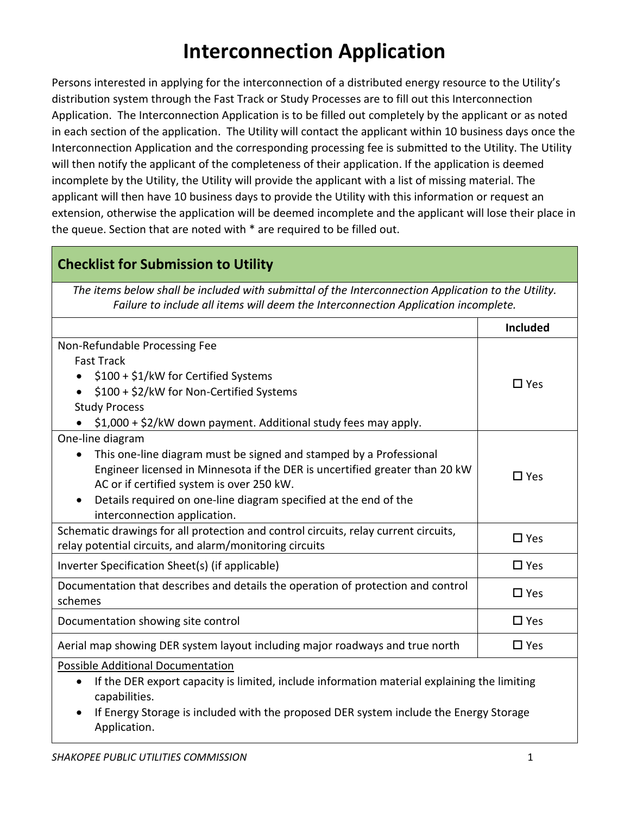# **Interconnection Application**

Persons interested in applying for the interconnection of a distributed energy resource to the Utility's distribution system through the Fast Track or Study Processes are to fill out this Interconnection Application. The Interconnection Application is to be filled out completely by the applicant or as noted in each section of the application. The Utility will contact the applicant within 10 business days once the Interconnection Application and the corresponding processing fee is submitted to the Utility. The Utility will then notify the applicant of the completeness of their application. If the application is deemed incomplete by the Utility, the Utility will provide the applicant with a list of missing material. The applicant will then have 10 business days to provide the Utility with this information or request an extension, otherwise the application will be deemed incomplete and the applicant will lose their place in the queue. Section that are noted with \* are required to be filled out.

# **Checklist for Submission to Utility**

*The items below shall be included with submittal of the Interconnection Application to the Utility. Failure to include all items will deem the Interconnection Application incomplete.*

|                                                                                             | <b>Included</b> |
|---------------------------------------------------------------------------------------------|-----------------|
| Non-Refundable Processing Fee                                                               |                 |
| <b>Fast Track</b>                                                                           |                 |
| \$100 + \$1/kW for Certified Systems                                                        |                 |
| \$100 + \$2/kW for Non-Certified Systems                                                    | $\Box$ Yes      |
| <b>Study Process</b>                                                                        |                 |
| \$1,000 + \$2/kW down payment. Additional study fees may apply.                             |                 |
| One-line diagram                                                                            |                 |
| This one-line diagram must be signed and stamped by a Professional                          |                 |
| Engineer licensed in Minnesota if the DER is uncertified greater than 20 kW                 | $\square$ Yes   |
| AC or if certified system is over 250 kW.                                                   |                 |
| Details required on one-line diagram specified at the end of the                            |                 |
| interconnection application.                                                                |                 |
| Schematic drawings for all protection and control circuits, relay current circuits,         | $\Box$ Yes      |
| relay potential circuits, and alarm/monitoring circuits                                     |                 |
| Inverter Specification Sheet(s) (if applicable)                                             | $\Box$ Yes      |
| Documentation that describes and details the operation of protection and control<br>schemes | $\Box$ Yes      |
| Documentation showing site control                                                          | $\Box$ Yes      |
| Aerial map showing DER system layout including major roadways and true north                | $\Box$ Yes      |
| <b>Possible Additional Documentation</b>                                                    |                 |
| If the DER export capacity is limited, include information material explaining the limiting |                 |
| capabilities.                                                                               |                 |
|                                                                                             |                 |

 If Energy Storage is included with the proposed DER system include the Energy Storage Application.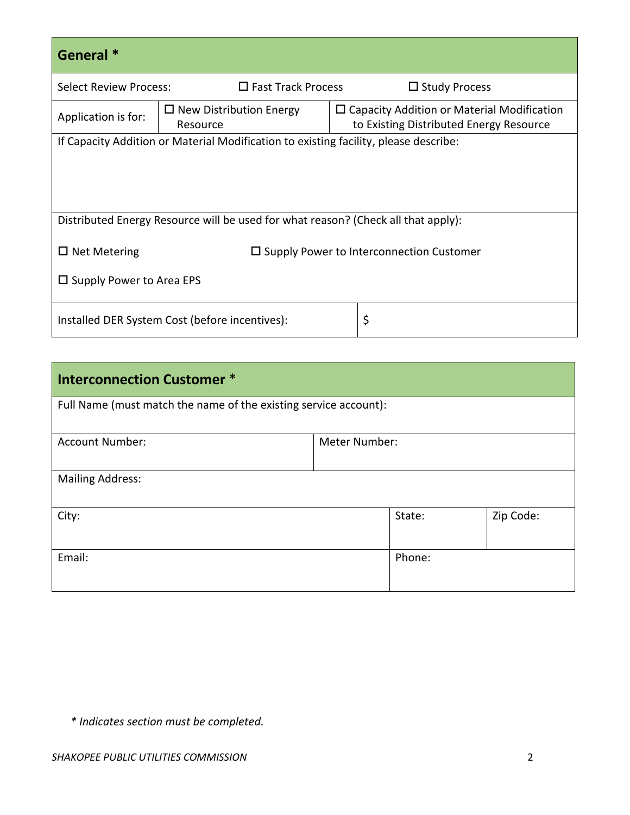| General <sup>*</sup>                                                              |                                                                                      |                                                                                              |                      |  |
|-----------------------------------------------------------------------------------|--------------------------------------------------------------------------------------|----------------------------------------------------------------------------------------------|----------------------|--|
| <b>Select Review Process:</b>                                                     | $\Box$ Fast Track Process                                                            |                                                                                              | $\Box$ Study Process |  |
| Application is for:                                                               | $\Box$ New Distribution Energy<br>Resource                                           | $\Box$ Capacity Addition or Material Modification<br>to Existing Distributed Energy Resource |                      |  |
|                                                                                   | If Capacity Addition or Material Modification to existing facility, please describe: |                                                                                              |                      |  |
|                                                                                   |                                                                                      |                                                                                              |                      |  |
|                                                                                   |                                                                                      |                                                                                              |                      |  |
| Distributed Energy Resource will be used for what reason? (Check all that apply): |                                                                                      |                                                                                              |                      |  |
| $\Box$ Net Metering<br>$\Box$ Supply Power to Interconnection Customer            |                                                                                      |                                                                                              |                      |  |
| $\square$ Supply Power to Area EPS                                                |                                                                                      |                                                                                              |                      |  |
| \$<br>Installed DER System Cost (before incentives):                              |                                                                                      |                                                                                              |                      |  |

| <b>Interconnection Customer *</b>                                |               |        |           |  |
|------------------------------------------------------------------|---------------|--------|-----------|--|
| Full Name (must match the name of the existing service account): |               |        |           |  |
| <b>Account Number:</b>                                           | Meter Number: |        |           |  |
| <b>Mailing Address:</b>                                          |               |        |           |  |
| City:                                                            |               | State: | Zip Code: |  |
| Email:                                                           |               | Phone: |           |  |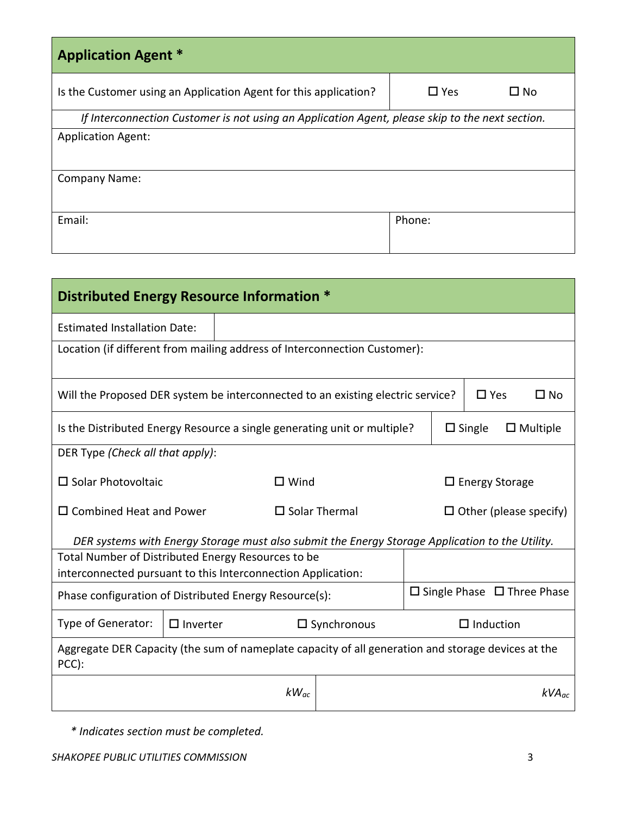| <b>Application Agent *</b>                                                                      |                       |
|-------------------------------------------------------------------------------------------------|-----------------------|
| Is the Customer using an Application Agent for this application?                                | $\square$ Yes<br>∐ No |
| If Interconnection Customer is not using an Application Agent, please skip to the next section. |                       |
| <b>Application Agent:</b>                                                                       |                       |
| <b>Company Name:</b>                                                                            |                       |
| Email:                                                                                          | Phone:                |

| Distributed Energy Resource Information *                                                                   |  |           |                               |  |                  |                 |
|-------------------------------------------------------------------------------------------------------------|--|-----------|-------------------------------|--|------------------|-----------------|
| <b>Estimated Installation Date:</b>                                                                         |  |           |                               |  |                  |                 |
| Location (if different from mailing address of Interconnection Customer):                                   |  |           |                               |  |                  |                 |
| Will the Proposed DER system be interconnected to an existing electric service?                             |  |           |                               |  | $\Box$ Yes       | $\square$ No    |
| Is the Distributed Energy Resource a single generating unit or multiple?                                    |  |           |                               |  | $\square$ Single | $\Box$ Multiple |
| DER Type (Check all that apply):                                                                            |  |           |                               |  |                  |                 |
| $\Box$ Solar Photovoltaic<br>$\square$ Wind<br>$\Box$ Energy Storage                                        |  |           |                               |  |                  |                 |
| $\square$ Solar Thermal<br>$\square$ Combined Heat and Power                                                |  |           | $\Box$ Other (please specify) |  |                  |                 |
| DER systems with Energy Storage must also submit the Energy Storage Application to the Utility.             |  |           |                               |  |                  |                 |
| Total Number of Distributed Energy Resources to be                                                          |  |           |                               |  |                  |                 |
| interconnected pursuant to this Interconnection Application:                                                |  |           |                               |  |                  |                 |
| $\square$ Single Phase $\square$ Three Phase<br>Phase configuration of Distributed Energy Resource(s):      |  |           |                               |  |                  |                 |
| Type of Generator:<br>$\Box$ Inverter<br>$\square$ Synchronous<br>$\Box$ Induction                          |  |           |                               |  |                  |                 |
| Aggregate DER Capacity (the sum of nameplate capacity of all generation and storage devices at the<br>PCC): |  |           |                               |  |                  |                 |
|                                                                                                             |  | $kW_{ac}$ |                               |  |                  | $kVA_{ac}$      |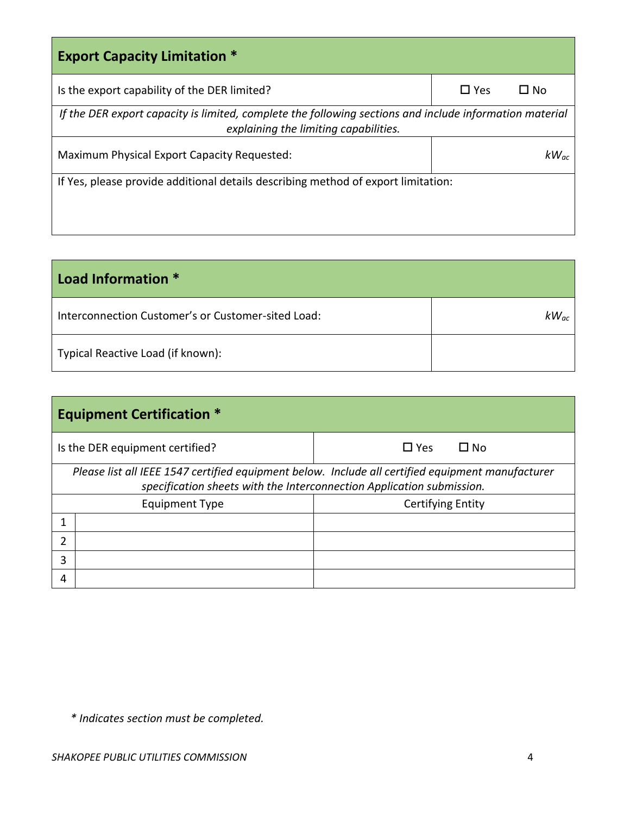| <b>Export Capacity Limitation *</b>                                                                                                              |            |           |  |  |
|--------------------------------------------------------------------------------------------------------------------------------------------------|------------|-----------|--|--|
| Is the export capability of the DER limited?                                                                                                     | $\Box$ Yes | ∐ No      |  |  |
| If the DER export capacity is limited, complete the following sections and include information material<br>explaining the limiting capabilities. |            |           |  |  |
| Maximum Physical Export Capacity Requested:                                                                                                      |            | $kW_{ac}$ |  |  |
| If Yes, please provide additional details describing method of export limitation:                                                                |            |           |  |  |
|                                                                                                                                                  |            |           |  |  |
|                                                                                                                                                  |            |           |  |  |

| Load Information *                                 |           |
|----------------------------------------------------|-----------|
| Interconnection Customer's or Customer-sited Load: | $kW_{ac}$ |
| Typical Reactive Load (if known):                  |           |

|   | <b>Equipment Certification *</b>                                                                                                                                           |                         |  |  |  |
|---|----------------------------------------------------------------------------------------------------------------------------------------------------------------------------|-------------------------|--|--|--|
|   | Is the DER equipment certified?                                                                                                                                            | $\Box$ Yes<br>$\Box$ No |  |  |  |
|   | Please list all IEEE 1547 certified equipment below. Include all certified equipment manufacturer<br>specification sheets with the Interconnection Application submission. |                         |  |  |  |
|   | Certifying Entity<br><b>Equipment Type</b>                                                                                                                                 |                         |  |  |  |
|   |                                                                                                                                                                            |                         |  |  |  |
| າ |                                                                                                                                                                            |                         |  |  |  |
| 3 |                                                                                                                                                                            |                         |  |  |  |
| 4 |                                                                                                                                                                            |                         |  |  |  |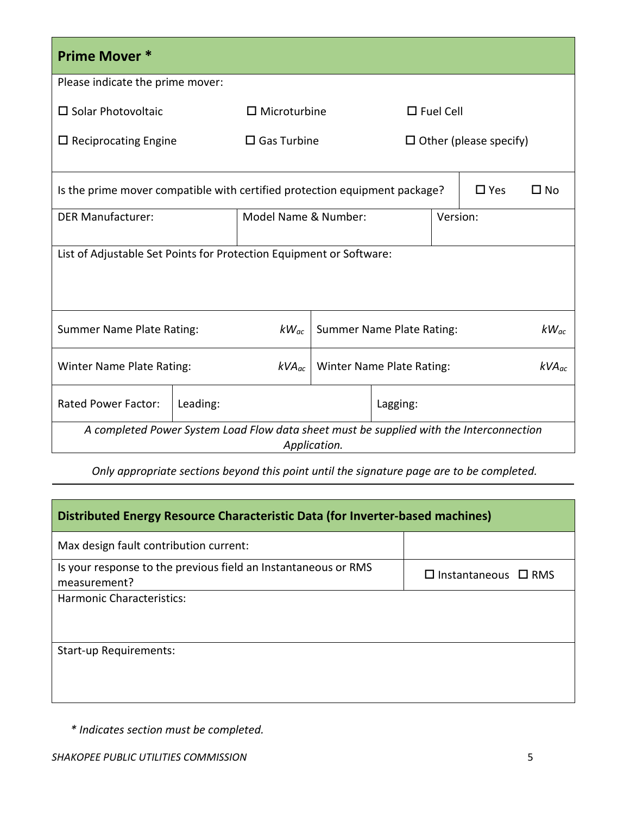| <b>Prime Mover *</b>                                                                                    |          |                       |  |                                  |                  |               |              |
|---------------------------------------------------------------------------------------------------------|----------|-----------------------|--|----------------------------------|------------------|---------------|--------------|
| Please indicate the prime mover:                                                                        |          |                       |  |                                  |                  |               |              |
| $\square$ Solar Photovoltaic                                                                            |          | $\Box$ Microturbine   |  |                                  | $\Box$ Fuel Cell |               |              |
| $\Box$ Reciprocating Engine                                                                             |          | $\square$ Gas Turbine |  | $\Box$ Other (please specify)    |                  |               |              |
| Is the prime mover compatible with certified protection equipment package?                              |          |                       |  |                                  |                  | $\square$ Yes | $\square$ No |
| <b>DER Manufacturer:</b>                                                                                |          | Model Name & Number:  |  |                                  | Version:         |               |              |
| List of Adjustable Set Points for Protection Equipment or Software:                                     |          |                       |  |                                  |                  |               |              |
| Summer Name Plate Rating:                                                                               |          | $kW_{ac}$             |  | Summer Name Plate Rating:        |                  |               | $kW_{ac}$    |
| Winter Name Plate Rating:                                                                               |          | $kVA_{ac}$            |  | <b>Winter Name Plate Rating:</b> |                  |               | $kVA_{ac}$   |
| <b>Rated Power Factor:</b>                                                                              | Leading: |                       |  | Lagging:                         |                  |               |              |
| A completed Power System Load Flow data sheet must be supplied with the Interconnection<br>Application. |          |                       |  |                                  |                  |               |              |

*Only appropriate sections beyond this point until the signature page are to be completed.*

| Distributed Energy Resource Characteristic Data (for Inverter-based machines)  |                                 |  |
|--------------------------------------------------------------------------------|---------------------------------|--|
| Max design fault contribution current:                                         |                                 |  |
| Is your response to the previous field an Instantaneous or RMS<br>measurement? | $\Box$ Instantaneous $\Box$ RMS |  |
| <b>Harmonic Characteristics:</b>                                               |                                 |  |
|                                                                                |                                 |  |
| Start-up Requirements:                                                         |                                 |  |
|                                                                                |                                 |  |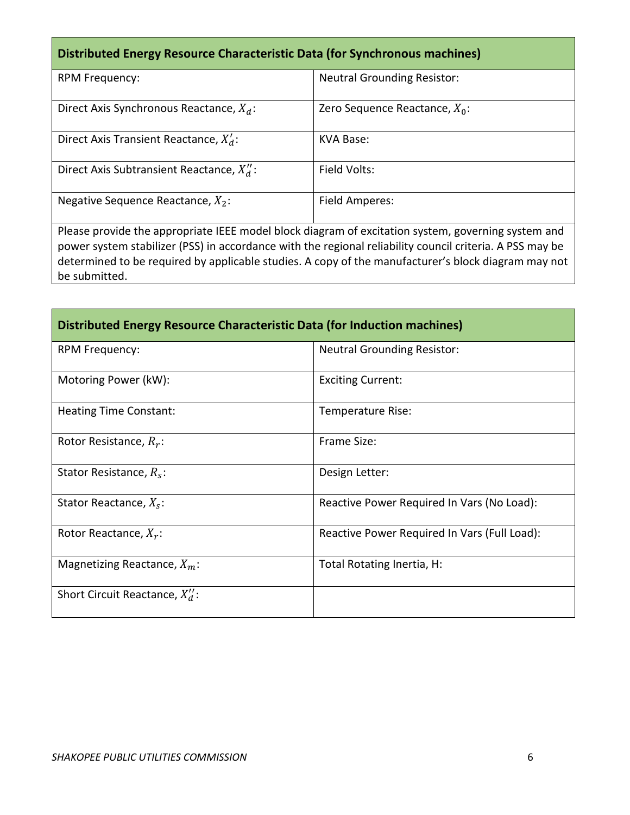# **Distributed Energy Resource Characteristic Data (for Synchronous machines)**

| RPM Frequency:                              | <b>Neutral Grounding Resistor:</b> |
|---------------------------------------------|------------------------------------|
| Direct Axis Synchronous Reactance, $X_d$ :  | Zero Sequence Reactance, $X_0$ :   |
| Direct Axis Transient Reactance, $X'_d$ :   | KVA Base:                          |
| Direct Axis Subtransient Reactance, $X_d$ : | Field Volts:                       |
| Negative Sequence Reactance, $X_2$ :        | Field Amperes:                     |

Please provide the appropriate IEEE model block diagram of excitation system, governing system and power system stabilizer (PSS) in accordance with the regional reliability council criteria. A PSS may be determined to be required by applicable studies. A copy of the manufacturer's block diagram may not be submitted.

| Distributed Energy Resource Characteristic Data (for Induction machines) |                                              |  |  |  |
|--------------------------------------------------------------------------|----------------------------------------------|--|--|--|
| <b>RPM Frequency:</b>                                                    | <b>Neutral Grounding Resistor:</b>           |  |  |  |
| Motoring Power (kW):                                                     | <b>Exciting Current:</b>                     |  |  |  |
| <b>Heating Time Constant:</b>                                            | Temperature Rise:                            |  |  |  |
| Rotor Resistance, $R_r$ :                                                | Frame Size:                                  |  |  |  |
| Stator Resistance, $R_s$ :                                               | Design Letter:                               |  |  |  |
| Stator Reactance, $X_s$ :                                                | Reactive Power Required In Vars (No Load):   |  |  |  |
| Rotor Reactance, $X_r$ :                                                 | Reactive Power Required In Vars (Full Load): |  |  |  |
| Magnetizing Reactance, $X_m$ :                                           | Total Rotating Inertia, H:                   |  |  |  |
| Short Circuit Reactance, $X_d$ :                                         |                                              |  |  |  |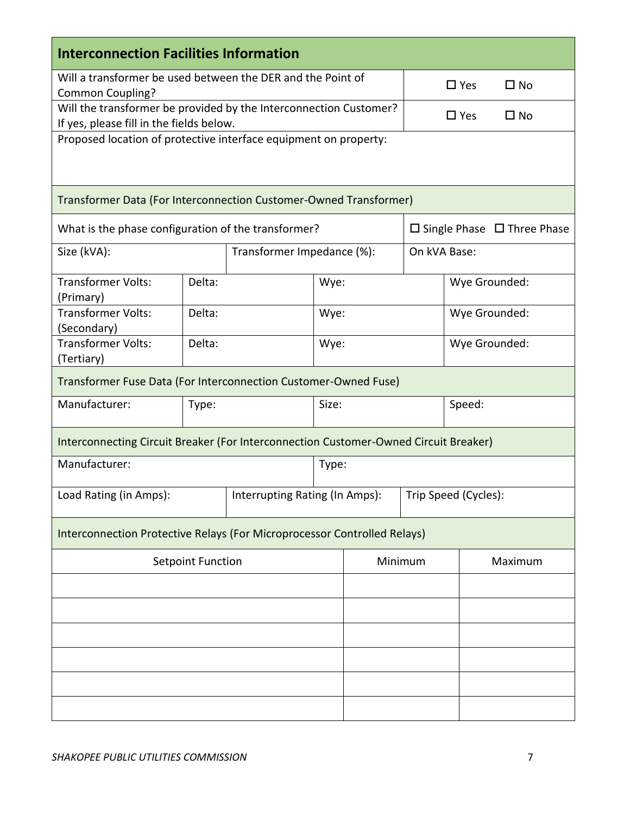| <b>Interconnection Facilities Information</b>                                         |                                |  |       |         |                                        |               |              |
|---------------------------------------------------------------------------------------|--------------------------------|--|-------|---------|----------------------------------------|---------------|--------------|
| Will a transformer be used between the DER and the Point of                           |                                |  |       |         | $\Box$ Yes                             | $\square$ No  |              |
| Common Coupling?<br>Will the transformer be provided by the Interconnection Customer? |                                |  |       |         |                                        |               |              |
| If yes, please fill in the fields below.                                              |                                |  |       |         |                                        | $\square$ Yes | $\square$ No |
| Proposed location of protective interface equipment on property:                      |                                |  |       |         |                                        |               |              |
|                                                                                       |                                |  |       |         |                                        |               |              |
| Transformer Data (For Interconnection Customer-Owned Transformer)                     |                                |  |       |         |                                        |               |              |
| What is the phase configuration of the transformer?                                   |                                |  |       |         | $\Box$ Single Phase $\Box$ Three Phase |               |              |
| Size (kVA):                                                                           | Transformer Impedance (%):     |  |       |         |                                        | On kVA Base:  |              |
| <b>Transformer Volts:</b><br>(Primary)                                                | Delta:                         |  |       | Wye:    |                                        | Wye Grounded: |              |
| <b>Transformer Volts:</b><br>(Secondary)                                              | Delta:                         |  |       | Wye:    |                                        | Wye Grounded: |              |
| <b>Transformer Volts:</b><br>(Tertiary)                                               | Delta:                         |  | Wye:  |         | Wye Grounded:                          |               |              |
| Transformer Fuse Data (For Interconnection Customer-Owned Fuse)                       |                                |  |       |         |                                        |               |              |
| Manufacturer:                                                                         | Type:                          |  | Size: |         |                                        | Speed:        |              |
| Interconnecting Circuit Breaker (For Interconnection Customer-Owned Circuit Breaker)  |                                |  |       |         |                                        |               |              |
| Manufacturer:                                                                         |                                |  | Type: |         |                                        |               |              |
| Load Rating (in Amps):                                                                | Interrupting Rating (In Amps): |  |       |         | Trip Speed (Cycles):                   |               |              |
| Interconnection Protective Relays (For Microprocessor Controlled Relays)              |                                |  |       |         |                                        |               |              |
| <b>Setpoint Function</b>                                                              |                                |  |       | Minimum |                                        |               | Maximum      |
|                                                                                       |                                |  |       |         |                                        |               |              |
|                                                                                       |                                |  |       |         |                                        |               |              |
|                                                                                       |                                |  |       |         |                                        |               |              |
|                                                                                       |                                |  |       |         |                                        |               |              |
|                                                                                       |                                |  |       |         |                                        |               |              |
|                                                                                       |                                |  |       |         |                                        |               |              |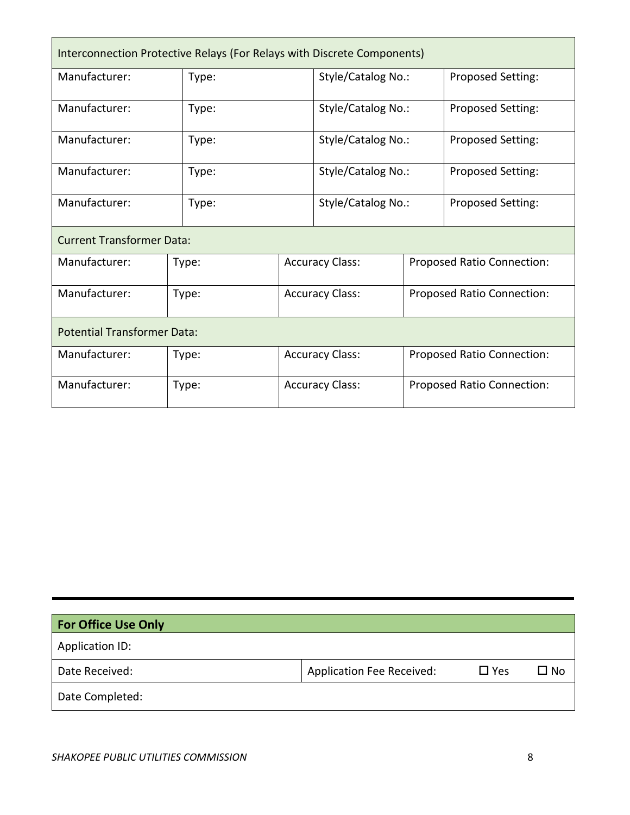| Interconnection Protective Relays (For Relays with Discrete Components) |       |                        |                        |                            |                            |  |
|-------------------------------------------------------------------------|-------|------------------------|------------------------|----------------------------|----------------------------|--|
| Manufacturer:                                                           | Type: |                        | Style/Catalog No.:     |                            | Proposed Setting:          |  |
| Manufacturer:                                                           | Type: |                        | Style/Catalog No.:     |                            | Proposed Setting:          |  |
| Manufacturer:                                                           | Type: |                        | Style/Catalog No.:     |                            | Proposed Setting:          |  |
| Manufacturer:                                                           | Type: |                        | Style/Catalog No.:     |                            | Proposed Setting:          |  |
| Manufacturer:                                                           | Type: |                        | Style/Catalog No.:     |                            | Proposed Setting:          |  |
| <b>Current Transformer Data:</b>                                        |       |                        |                        |                            |                            |  |
| Manufacturer:                                                           | Type: | <b>Accuracy Class:</b> |                        | Proposed Ratio Connection: |                            |  |
| Manufacturer:                                                           | Type: | <b>Accuracy Class:</b> |                        | Proposed Ratio Connection: |                            |  |
| <b>Potential Transformer Data:</b>                                      |       |                        |                        |                            |                            |  |
| Manufacturer:                                                           | Type: |                        | <b>Accuracy Class:</b> | Proposed Ratio Connection: |                            |  |
| Manufacturer:                                                           | Type: |                        | <b>Accuracy Class:</b> |                            | Proposed Ratio Connection: |  |

| <b>For Office Use Only</b> |                                  |            |      |
|----------------------------|----------------------------------|------------|------|
| Application ID:            |                                  |            |      |
| Date Received:             | <b>Application Fee Received:</b> | $\Box$ Yes | □ No |
| Date Completed:            |                                  |            |      |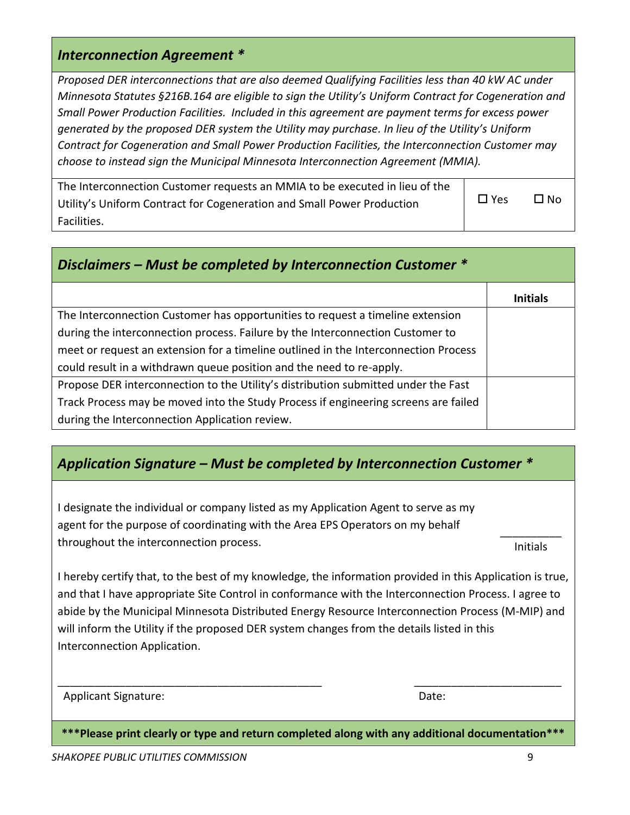### *Interconnection Agreement \**

*Proposed DER interconnections that are also deemed Qualifying Facilities less than 40 kW AC under Minnesota Statutes §216B.164 are eligible to sign the Utility's Uniform Contract for Cogeneration and Small Power Production Facilities. Included in this agreement are payment terms for excess power generated by the proposed DER system the Utility may purchase. In lieu of the Utility's Uniform Contract for Cogeneration and Small Power Production Facilities, the Interconnection Customer may choose to instead sign the Municipal Minnesota Interconnection Agreement (MMIA).*

| The Interconnection Customer requests an MMIA to be executed in lieu of the |            |              |
|-----------------------------------------------------------------------------|------------|--------------|
| Utility's Uniform Contract for Cogeneration and Small Power Production      | $\Box$ Yes | $\square$ No |
| Facilities.                                                                 |            |              |

| Disclaimers – Must be completed by Interconnection Customer $*$                     |                 |  |  |  |  |
|-------------------------------------------------------------------------------------|-----------------|--|--|--|--|
|                                                                                     | <b>Initials</b> |  |  |  |  |
| The Interconnection Customer has opportunities to request a timeline extension      |                 |  |  |  |  |
| during the interconnection process. Failure by the Interconnection Customer to      |                 |  |  |  |  |
| meet or request an extension for a timeline outlined in the Interconnection Process |                 |  |  |  |  |
| could result in a withdrawn queue position and the need to re-apply.                |                 |  |  |  |  |
| Propose DER interconnection to the Utility's distribution submitted under the Fast  |                 |  |  |  |  |
| Track Process may be moved into the Study Process if engineering screens are failed |                 |  |  |  |  |
| during the Interconnection Application review.                                      |                 |  |  |  |  |

# *Application Signature – Must be completed by Interconnection Customer \**

I designate the individual or company listed as my Application Agent to serve as my agent for the purpose of coordinating with the Area EPS Operators on my behalf throughout the interconnection process.

\_\_\_\_\_\_\_\_\_\_ Initials

I hereby certify that, to the best of my knowledge, the information provided in this Application is true, and that I have appropriate Site Control in conformance with the Interconnection Process. I agree to abide by the Municipal Minnesota Distributed Energy Resource Interconnection Process (M-MIP) and will inform the Utility if the proposed DER system changes from the details listed in this Interconnection Application.

Applicant Signature: Date: Date: Date: Date: Date: Date: Date: Date: Date: Date: Date: Date: Date: Date: Date: Date: Date: Date: Date: Date: Date: Date: Date: Date: Date: Date: Date: Date: Date: Date: Date: Date: Date: Dat

**\*\*\*Please print clearly or type and return completed along with any additional documentation\*\*\***

\_\_\_\_\_\_\_\_\_\_\_\_\_\_\_\_\_\_\_\_\_\_\_\_\_\_\_\_\_\_\_\_\_\_\_\_\_\_\_\_\_\_\_ \_\_\_\_\_\_\_\_\_\_\_\_\_\_\_\_\_\_\_\_\_\_\_\_